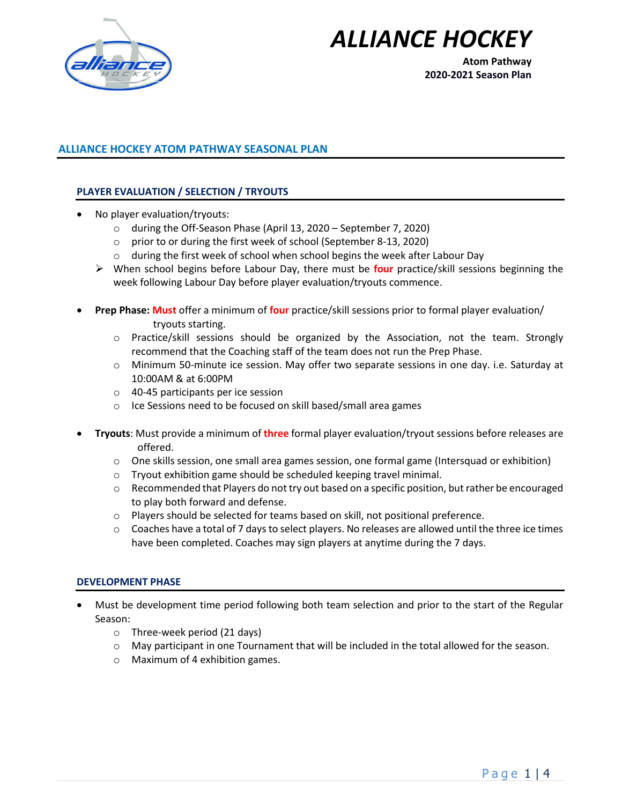

# *ALLIANCE HOCKEY*

**Atom Pathway 2020-2021 Season Plan**

# **ALLIANCE HOCKEY ATOM PATHWAY SEASONAL PLAN**

## **PLAYER EVALUATION / SELECTION / TRYOUTS**

- No player evaluation/tryouts:
	- o during the Off-Season Phase (April 13, 2020 September 7, 2020)
	- o prior to or during the first week of school (September 8-13, 2020)
	- o during the first week of school when school begins the week after Labour Day
	- ➢ When school begins before Labour Day, there must be **four** practice/skill sessions beginning the week following Labour Day before player evaluation/tryouts commence.
- **Prep Phase: Must** offer a minimum of **four** practice/skill sessions prior to formal player evaluation/ tryouts starting.
	- o Practice/skill sessions should be organized by the Association, not the team. Strongly recommend that the Coaching staff of the team does not run the Prep Phase.
	- o Minimum 50-minute ice session. May offer two separate sessions in one day. i.e. Saturday at 10:00AM & at 6:00PM
	- o 40-45 participants per ice session
	- o Ice Sessions need to be focused on skill based/small area games
- **Tryouts**: Must provide a minimum of **three** formal player evaluation/tryout sessions before releases are offered.
	- o One skills session, one small area games session, one formal game (Intersquad or exhibition)
	- o Tryout exhibition game should be scheduled keeping travel minimal.
	- o Recommended that Players do not try out based on a specific position, but rather be encouraged to play both forward and defense.
	- o Players should be selected for teams based on skill, not positional preference.
	- o Coaches have a total of 7 days to select players. No releases are allowed until the three ice times have been completed. Coaches may sign players at anytime during the 7 days.

#### **DEVELOPMENT PHASE**

- Must be development time period following both team selection and prior to the start of the Regular Season:
	- o Three-week period (21 days)
	- o May participant in one Tournament that will be included in the total allowed for the season.
	- o Maximum of 4 exhibition games.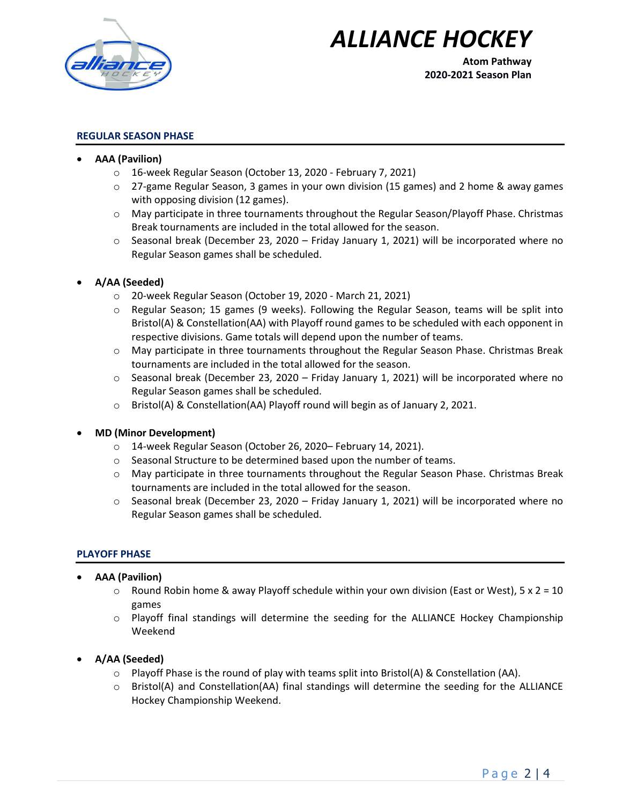

# *ALLIANCE HOCKEY*

**Atom Pathway 2020-2021 Season Plan**

## **REGULAR SEASON PHASE**

- **AAA (Pavilion)**
	- o 16-week Regular Season (October 13, 2020 February 7, 2021)
	- $\circ$  27-game Regular Season, 3 games in your own division (15 games) and 2 home & away games with opposing division (12 games).
	- $\circ$  May participate in three tournaments throughout the Regular Season/Playoff Phase. Christmas Break tournaments are included in the total allowed for the season.
	- $\circ$  Seasonal break (December 23, 2020 Friday January 1, 2021) will be incorporated where no Regular Season games shall be scheduled.

# • **A/AA (Seeded)**

- o 20-week Regular Season (October 19, 2020 March 21, 2021)
- $\circ$  Regular Season; 15 games (9 weeks). Following the Regular Season, teams will be split into Bristol(A) & Constellation(AA) with Playoff round games to be scheduled with each opponent in respective divisions. Game totals will depend upon the number of teams.
- $\circ$  May participate in three tournaments throughout the Regular Season Phase. Christmas Break tournaments are included in the total allowed for the season.
- o Seasonal break (December 23, 2020 Friday January 1, 2021) will be incorporated where no Regular Season games shall be scheduled.
- o Bristol(A) & Constellation(AA) Playoff round will begin as of January 2, 2021.

## • **MD (Minor Development)**

- o 14-week Regular Season (October 26, 2020– February 14, 2021).
- o Seasonal Structure to be determined based upon the number of teams.
- o May participate in three tournaments throughout the Regular Season Phase. Christmas Break tournaments are included in the total allowed for the season.
- o Seasonal break (December 23, 2020 Friday January 1, 2021) will be incorporated where no Regular Season games shall be scheduled.

## **PLAYOFF PHASE**

- **AAA (Pavilion)** 
	- $\circ$  Round Robin home & away Playoff schedule within your own division (East or West), 5 x 2 = 10 games
	- o Playoff final standings will determine the seeding for the ALLIANCE Hockey Championship Weekend
- **A/AA (Seeded)**
	- $\circ$  Playoff Phase is the round of play with teams split into Bristol(A) & Constellation (AA).
	- o Bristol(A) and Constellation(AA) final standings will determine the seeding for the ALLIANCE Hockey Championship Weekend.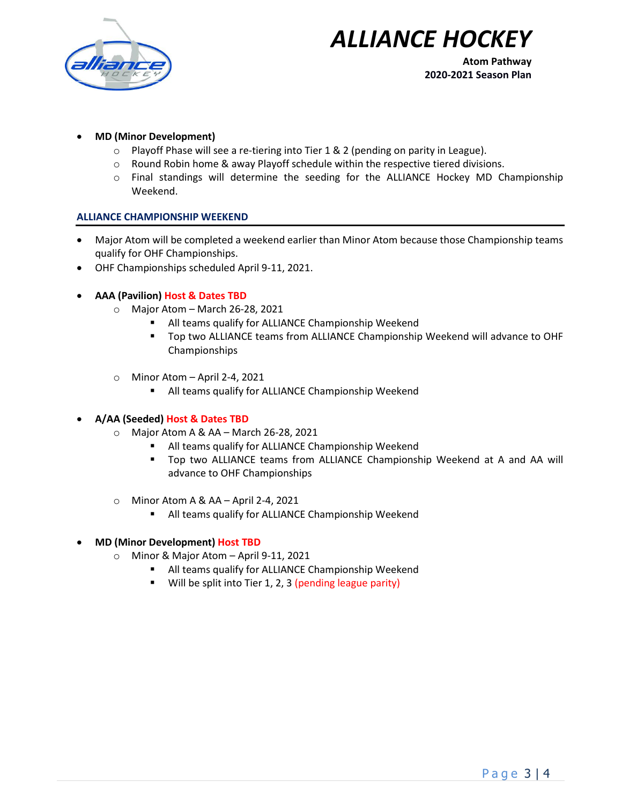



**Atom Pathway 2020-2021 Season Plan**

## • **MD (Minor Development)**

- o Playoff Phase will see a re-tiering into Tier 1 & 2 (pending on parity in League).
- $\circ$  Round Robin home & away Playoff schedule within the respective tiered divisions.
- o Final standings will determine the seeding for the ALLIANCE Hockey MD Championship Weekend.

#### **ALLIANCE CHAMPIONSHIP WEEKEND**

- Major Atom will be completed a weekend earlier than Minor Atom because those Championship teams qualify for OHF Championships.
- OHF Championships scheduled April 9-11, 2021.

## • **AAA (Pavilion) Host & Dates TBD**

- o Major Atom March 26-28, 2021
	- All teams qualify for ALLIANCE Championship Weekend
	- Top two ALLIANCE teams from ALLIANCE Championship Weekend will advance to OHF Championships
- $\circ$  Minor Atom April 2-4, 2021
	- All teams qualify for ALLIANCE Championship Weekend

#### • **A/AA (Seeded) Host & Dates TBD**

- o Major Atom A & AA March 26-28, 2021
	- All teams qualify for ALLIANCE Championship Weekend
	- **•** Top two ALLIANCE teams from ALLIANCE Championship Weekend at A and AA will advance to OHF Championships
- o Minor Atom A & AA April 2-4, 2021
	- All teams qualify for ALLIANCE Championship Weekend

#### • **MD (Minor Development) Host TBD**

- o Minor & Major Atom April 9-11, 2021
	- All teams qualify for ALLIANCE Championship Weekend
	- Will be split into Tier 1, 2, 3 (pending league parity)